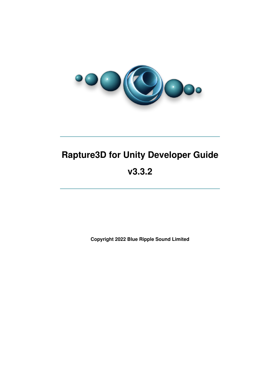

# **Rapture3D for Unity Developer Guide v3.3.2**

**Copyright 2022 Blue Ripple Sound Limited**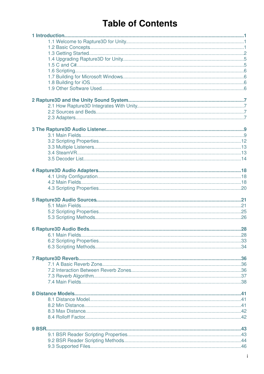# **Table of Contents**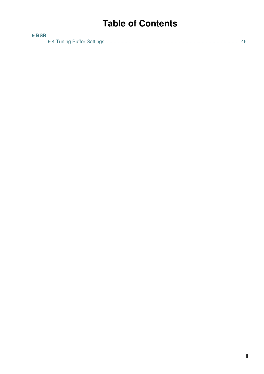# **Table of Contents**

| 9 BSR |  |
|-------|--|
|       |  |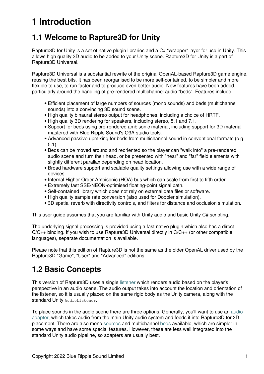# **1 Introduction**

## <span id="page-3-0"></span>**1.1 Welcome to Rapture3D for Unity**

Rapture3D for Unity is a set of native plugin libraries and a C# "wrapper" layer for use in Unity. This allows high quality 3D audio to be added to your Unity scene. Rapture3D for Unity is a part of Rapture3D Universal.

Rapture3D Universal is a substantial rewrite of the original OpenAL-based Rapture3D game engine, reusing the best bits. It has been reorganised to be more self-contained, to be simpler and more flexible to use, to run faster and to produce even better audio. New features have been added, particularly around the handling of pre-rendered multichannel audio "beds". Features include:

- Efficient placement of large numbers of sources (mono sounds) and beds (multichannel sounds) into a convincing 3D sound scene.
- High quality binaural stereo output for headphones, including a choice of HRTF.
- High quality 3D rendering for speakers, including stereo, 5.1 and 7.1.
- Support for beds using pre-rendered ambisonic material, including support for 3D material mastered with Blue Ripple Sound's O3A studio tools.
- Advanced passive upmixing for beds from multichannel sound in conventional formats (e.g. 5.1).
- Beds can be moved around and reoriented so the player can "walk into" a pre-rendered audio scene and turn their head, or be presented with "near" and "far" field elements with slightly different parallax depending on head location.
- Broad hardware support and scalable quality settings allowing use with a wide range of devices.
- Internal Higher Order Ambisonic (HOA) bus which can scale from first to fifth order.
- Extremely fast SSE/NEON-optimised floating-point signal path.
- Self-contained library which does not rely on external data files or software.
- High quality sample rate conversion (also used for Doppler simulation).
- 3D spatial reverb with directivity controls, and filters for distance and occlusion simulation.

This user guide assumes that you are familiar with Unity audio and basic Unity C# scripting.

The underlying signal processing is provided using a fast native plugin which also has a direct  $C/C++$  binding. If you wish to use Rapture3D Universal directly in  $C/C++$  (or other compatible languages), separate documentation is available.

Please note that this edition of Rapture3D is not the same as the older OpenAL driver used by the Rapture3D "Game", "User" and "Advanced" editions.

## <span id="page-3-1"></span>**1.2 Basic Concepts**

This version of Rapture3D uses a single [listener](#page-10-0) which renders audio based on the player's perspective in an audio scene. The audio output takes into account the location and orientation of the listener, so it is usually placed on the same rigid body as the Unity camera, along with the standard Unity AudioListener.

To place sounds in the audio scene there are three options. Generally, you'll want to use an [audio](#page-19-0) [adapter](#page-19-0), which takes audio from the main Unity audio system and feeds it into Rapture3D for 3D placement. There are also mono [sources](#page-22-1) and multichannel [beds](#page-29-0) available, which are simpler in some ways and have some special features. However, these are less well integrated into the standard Unity audio pipeline, so adapters are usually best.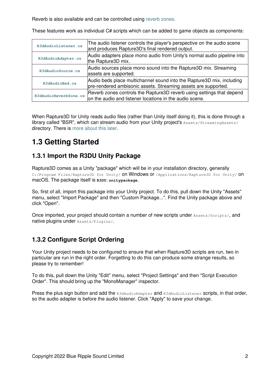Reverb is also available and can be controlled using [reverb zones](#page-38-0).

These features work as individual C# scripts which can be added to game objects as components:

| R3dAudioListener.cs   | The audio listener controls the player's perspective on the audio scene<br>and produces Rapture3D's final rendered output.              |
|-----------------------|-----------------------------------------------------------------------------------------------------------------------------------------|
| R3dAudioAdapter.cs    | Audio adapters place mono audio from Unity's normal audio pipeline into<br>the Rapture3D mix.                                           |
| R3dAudioSource.cs     | Audio sources place mono sound into the Rapture3D mix. Streaming<br>assets are supported.                                               |
| R3dAudioBed.cs        | Audio beds place multichannel sound into the Rapture3D mix, including<br>pre-rendered ambisonic assets. Streaming assets are supported. |
| R3dAudioReverbZone.cs | Reverb zones controls the Rapture3D reverb using settings that depend<br>on the audio and listener locations in the audio scene.        |

When Rapture3D for Unity reads audio files (rather than Unity itself doing it), this is done through a library called "BSR", which can stream audio from your Unity project's Assets/StreamingAssets/ directory. There is [more about this later](#page-44-2).

## <span id="page-4-0"></span>**1.3 Getting Started**

### **1.3.1 Import the R3DU Unity Package**

Rapture3D comes as a Unity "package" which will be in your installation directory, generally C:/Program Files/Rapture3D for Unity/ **ON Windows or** /Applications/Rapture3D for Unity/ **ON** macOS. The package itself is **R3DU.unitypackage**.

So, first of all, import this package into your Unity project. To do this, pull down the Unity "Assets" menu, select "Import Package" and then "Custom Package...". Find the Unity package above and click "Open".

Once imported, your project should contain a number of new scripts under Assets/Scripts/, and native plugins under Assets/Plugins/.

## <span id="page-4-1"></span>**1.3.2 Configure Script Ordering**

Your Unity project needs to be configured to ensure that when Rapture3D scripts are run, two in particular are run in the right order. Forgetting to do this can produce some strange results, so please try to remember!

To do this, pull down the Unity "Edit" menu, select "Project Settings" and then "Script Execution Order". This should bring up the "MonoManager" inspector.

Press the plus sign button and add the R3dAudioAdapter and R3dAudioListener scripts, in that order, so the audio adapter is before the audio listener. Click "Apply" to save your change.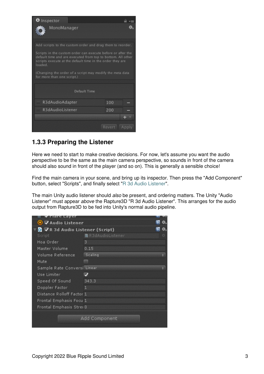| <b>O</b> Inspector                                                                                                                                                                                 |                 |  |  |
|----------------------------------------------------------------------------------------------------------------------------------------------------------------------------------------------------|-----------------|--|--|
| MonoManager                                                                                                                                                                                        |                 |  |  |
| Add scripts to the custom order and drag them to reorder.                                                                                                                                          |                 |  |  |
| Scripts in the custom order can execute before or after the<br>default time and are executed from top to bottom. All other<br>scripts execute at the default time in the order they are<br>loaded. |                 |  |  |
| (Changing the order of a script may modify the meta data<br>for more than one script.)                                                                                                             |                 |  |  |
| Default Time                                                                                                                                                                                       |                 |  |  |
| $=$ R3dAudioAdapter                                                                                                                                                                                | 100             |  |  |
| $=$ R3dAudioListener                                                                                                                                                                               | 200             |  |  |
|                                                                                                                                                                                                    |                 |  |  |
|                                                                                                                                                                                                    | Revert<br>Apply |  |  |

### **1.3.3 Preparing the Listener**

Here we need to start to make creative decisions. For now, let's assume you want the audio perspective to be the same as the main camera perspective, so sounds in front of the camera should also sound in front of the player (and so on). This is generally a sensible choice!

Find the main camera in your scene, and bring up its inspector. Then press the "Add Component" button, select "Scripts", and finally select ["R 3d Audio Listener"](#page-10-0).

The main Unity audio listener should *also* be present, and ordering matters. The Unity "Audio Listener" must appear *above* the Rapture3D "R 3d Audio Listener". This arranges for the audio output from Rapture3D to be fed into Unity's normal audio pipeline.

| idre Layer                      |                    |   |
|---------------------------------|--------------------|---|
| ● ZAudio Listener               |                    |   |
| G ∨R 3d Audio Listener (Script) |                    |   |
| Script                          | ■ R3dAudioListener | 0 |
| Hoa Order                       | з                  |   |
| Master Volume                   | 0.15               |   |
| Volume Reference                | Scaling            |   |
| Mute                            |                    |   |
| Sample Rate Conversi Linear     |                    |   |
| Use Limiter                     |                    |   |
| Speed Of Sound                  | 343.3              |   |
| Doppler Factor                  | 1                  |   |
| Distance Rolloff Factor 1       |                    |   |
| Frontal Emphasis Focu 1         |                    |   |
| Frontal Emphasis Strei 0        |                    |   |
|                                 |                    |   |
|                                 | Add Component      |   |
|                                 |                    |   |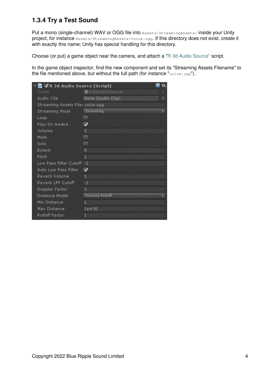## **1.3.4 Try a Test Sound**

Put a mono (single-channel) WAV or OGG file into Assets/StreamingAssets/inside your Unity project, for instance Assets/StreamingAssets/voice.ogg. If this directory does not exist, create it with exactly this name; Unity has special handling for this directory.

Choose (or put) a game object near the camera, and attach a ["R 3d Audio Source"](#page-22-1) script.

In the game object inspector, find the new component and set its "Streaming Assets Filename" to the file mentioned above, but without the full path (for instance "voice.ogg").

|        | G ∨R 3d Audio Source (Script)    |                          |   |
|--------|----------------------------------|--------------------------|---|
| Script |                                  | ■ R3dAudioSource         | O |
|        | Audio Clip                       | None (Audio Clip)        | O |
|        | Streaming Assets Filer voice.ogg |                          |   |
|        | Streaming Mode                   | Streaming                | ÷ |
| Loop   |                                  |                          |   |
|        | Play On Awake                    | $\overline{\mathcal{L}}$ |   |
| Volume |                                  | $\mathbf{1}$             |   |
| Mute   |                                  | <b>REGIS</b>             |   |
| Solo   |                                  |                          |   |
| Extent |                                  | $\Omega$                 |   |
| Pitch  |                                  | 1                        |   |
|        | Low Pass Filter Cutoff -1        |                          |   |
|        | Auto Low Pass Filter             | $\overline{\mathbf{v}}$  |   |
|        | Reverb Volume                    | $\mathbf{1}$             |   |
|        | Reverb LPF Cutoff                | $-1$                     |   |
|        | Doppler Factor                   | $\mathbf{1}$             |   |
|        | Distance Model                   | <b>Inverse Rolloff</b>   | ٠ |
|        | Min Distance                     | 1                        |   |
|        | Max Distance                     | $1e + 30$                |   |
|        | Rolloff Factor                   | 1                        |   |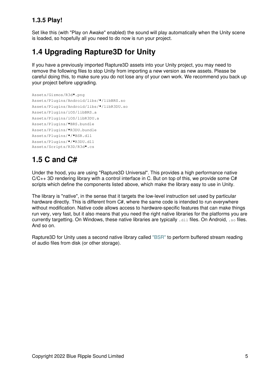## **1.3.5 Play!**

Set like this (with "Play on Awake" enabled) the sound will play automatically when the Unity scene is loaded, so hopefully all you need to do now is run your project.

## <span id="page-7-0"></span>**1.4 Upgrading Rapture3D for Unity**

If you have a previously imported Rapture3D assets into your Unity project, you may need to remove the following files to stop Unity from importing a new version as new assets. Please be careful doing this, to make sure you do not lose any of your own work. We recommend you back up your project before upgrading.

```
Assets/Gizmos/R3d*.png
Assets/Plugins/Android/libs/*/libBRS.so
Assets/Plugins/Android/libs/*/libR3DU.so
Assets/Plugins/iOS/libBRS.a
Assets/Plugins/iOS/libR3DU.a
Assets/Plugins/*BRS.bundle
Assets/Plugins/*R3DU.bundle
Assets/Plugins/*/*BSR.dll
Assets/Plugins/*/*R3DU.dll
Assets/Scripts/R3D/R3d*.cs
```
## <span id="page-7-1"></span>**1.5 C and C#**

Under the hood, you are using "Rapture3D Universal". This provides a high performance native C/C++ 3D rendering library with a control interface in C. But on top of this, we provide some C# scripts which define the components listed above, which make the library easy to use in Unity.

The library is "native", in the sense that it targets the low-level instruction set used by particular hardware directly. This is different from C#, where the same code is intended to run everywhere without modification. Native code allows access to hardware-specific features that can make things run very, very fast, but it also means that you need the right native libraries for the platforms you are currently targetting. On Windows, these native libraries are typically .dll files. On Android, .so files. And so on.

Rapture3D for Unity uses a second native library called ["BSR"](#page-44-2) to perform buffered stream reading of audio files from disk (or other storage).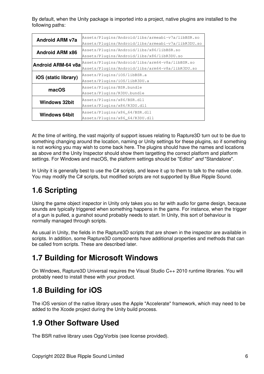By default, when the Unity package is imported into a project, native plugins are installed to the following paths:

| <b>Android ARM v7a</b> | Assets/Plugins/Android/libs/armeabi-v7a/libBSR.so<br>Assets/Plugins/Android/libs/armeabi-v7a/libR3DU.so |
|------------------------|---------------------------------------------------------------------------------------------------------|
|                        |                                                                                                         |
| <b>Android ARM x86</b> | Assets/Plugins/Android/libs/x86/libBSR.so                                                               |
|                        | Assets/Plugins/Android/libs/x86/libR3DU.so                                                              |
| Android ARM-64 v8a     | Assets/Plugins/Android/libs/arm64-v8a/libBSR.so                                                         |
|                        | Assets/Plugins/Android/libs/arm64-v8a/libR3DU.so                                                        |
| iOS (static library)   | Assets/Plugins/iOS/libBSR.a                                                                             |
|                        | Assets/Plugins/iOS/libR3DU.a                                                                            |
| macOS                  | Assets/Plugins/BSR.bundle                                                                               |
|                        | Assets/Plugins/R3DU.bundle                                                                              |
|                        | Assets/Plugins/x86/BSR.dll                                                                              |
| <b>Windows 32bit</b>   | Assets/Plugins/x86/R3DU.dll                                                                             |
|                        | Assets/Plugins/x86_64/BSR.dll                                                                           |
| <b>Windows 64bit</b>   | Assets/Plugins/x86_64/R3DU.dll                                                                          |

At the time of writing, the vast majority of support issues relating to Rapture3D turn out to be due to something changing around the location, naming or Unity settings for these plugins, so if something is not working you may wish to come back here. The plugins should have the names and locations as above and the Unity Inspector should show them targetting the correct platform and platform settings. For Windows and macOS, the platform settings should be "Editor" *and* "Standalone".

In Unity it is generally best to use the C# scripts, and leave it up to them to talk to the native code. You may modify the C# scripts, but modified scripts are not supported by Blue Ripple Sound.

## <span id="page-8-0"></span>**1.6 Scripting**

Using the game object inspector in Unity only takes you so far with audio for game design, because sounds are typically triggered when something happens in the game. For instance, when the trigger of a gun is pulled, a gunshot sound probably needs to start. In Unity, this sort of behaviour is normally managed through scripts.

As usual in Unity, the fields in the Rapture3D scripts that are shown in the inspector are available in scripts. In addition, some Rapture3D components have additional properties and methods that can be called from scripts. These are described later.

## <span id="page-8-1"></span>**1.7 Building for Microsoft Windows**

On Windows, Rapture3D Universal requires the Visual Studio C++ 2010 runtime libraries. You will probably need to install these with your product.

## <span id="page-8-2"></span>**1.8 Building for iOS**

The iOS version of the native library uses the Apple "Accelerate" framework, which may need to be added to the Xcode project during the Unity build process.

## <span id="page-8-3"></span>**1.9 Other Software Used**

<span id="page-8-4"></span>The BSR native library uses Ogg/Vorbis (see license provided).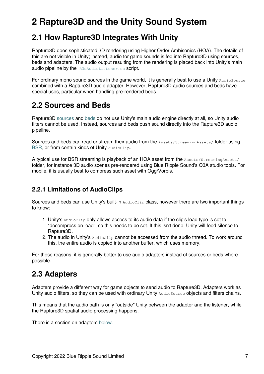# **2 Rapture3D and the Unity Sound System**

## <span id="page-9-0"></span>**2.1 How Rapture3D Integrates With Unity**

Rapture3D does sophisticated 3D rendering using Higher Order Ambisonics (HOA). The details of this are not visible in Unity; instead, audio for game sounds is fed into Rapture3D using sources, beds and adapters. The audio output resulting from the rendering is placed back into Unity's main audio pipeline by the [R3dAudioListener.cs](#page-10-0) script.

For ordinary mono sound sources in the game world, it is generally best to use a Unity AudioSource combined with a Rapture3D audio adapter. However, Rapture3D audio sources and beds have special uses, particular when handling pre-rendered beds.

## <span id="page-9-1"></span>**2.2 Sources and Beds**

Rapture3D [sources](#page-22-1) and [beds](#page-29-0) do not use Unity's main audio engine directly at all, so Unity audio filters cannot be used. Instead, sources and beds push sound directly into the Rapture3D audio pipeline.

Sources and beds can read or stream their audio from the Assets/StreamingAssets/ folder using [BSR,](#page-44-2) or from certain kinds of Unity AudioClip.

A typical use for BSR streaming is playback of an HOA asset from the Assets/StreamingAssets/ folder, for instance 3D audio scenes pre-rendered using Blue Ripple Sound's O3A studio tools. For mobile, it is usually best to compress such asset with Ogg/Vorbis.

## <span id="page-9-3"></span>**2.2.1 Limitations of AudioClips**

Sources and beds can use Unity's built-in  $\Delta_{\text{add}}\text{colis}$  class, however there are two important things to know:

- 1. Unity's AudioClip only allows access to its audio data if the clip's load type is set to "decompress on load", so this needs to be set. If this isn't done, Unity will feed silence to Rapture3D.
- 2. The audio in Unity's AudioClip cannot be accessed from the audio thread. To work around this, the entire audio is copied into another buffer, which uses memory.

For these reasons, it is generally better to use audio adapters instead of sources or beds where possible.

## <span id="page-9-2"></span>**2.3 Adapters**

Adapters provide a different way for game objects to send audio to Rapture3D. Adapters work as Unity audio filters, so they can be used with ordinary Unity AudioSource objects and filters chains.

This means that the audio path is only "outside" Unity between the adapter and the listener, while the Rapture3D spatial audio processing happens.

There is a section on adapters [below.](#page-19-0)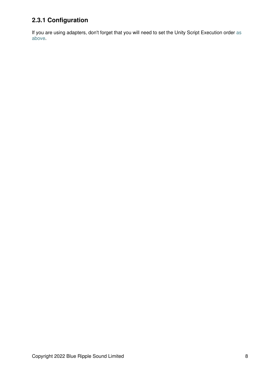## **2.3.1 Configuration**

<span id="page-10-0"></span>If you are using adapters, don't forget that you will need to set the Unity Script Execution order [as](#page-4-1) [above.](#page-4-1)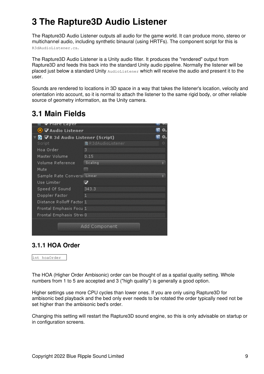# **3 The Rapture3D Audio Listener**

The Rapture3D Audio Listener outputs all audio for the game world. It can produce mono, stereo or multichannel audio, including synthetic binaural (using HRTFs). The component script for this is R3dAudioListener.cs.

The Rapture3D Audio Listener is a Unity audio filter. It produces the "rendered" output from Rapture3D and feeds this back into the standard Unity audio pipeline. Normally the listener will be placed just below a standard Unity AudioListener which will receive the audio and present it to the user.

Sounds are rendered to locations in 3D space in a way that takes the listener's location, velocity and orientation into account, so it is normal to attach the listener to the same rigid body, or other reliable source of geometry information, as the Unity camera.

## <span id="page-11-0"></span>**3.1 Main Fields**

| iare Layer                                     |                    |   |
|------------------------------------------------|--------------------|---|
| $\bullet$ $\triangledown$ Audio Listener       |                    |   |
| <b>G</b> $\nabla$ R 3d Audio Listener (Script) |                    |   |
| Script                                         | ■ R3dAudioListener | 0 |
| Hoa Order                                      | з                  |   |
| Master Volume                                  | 0.15               |   |
| Volume Reference                               | Scaling            |   |
| Mute                                           |                    |   |
| Sample Rate Conversi Linear                    |                    |   |
| Use Limiter.                                   |                    |   |
| Speed Of Sound                                 | 343.3              |   |
| Doppler Factor                                 | 1                  |   |
| Distance Rolloff Factor 1                      |                    |   |
| Frontal Emphasis Focu 1                        |                    |   |
| Frontal Emphasis Strei 0                       |                    |   |
|                                                |                    |   |
|                                                | Add Component      |   |
|                                                |                    |   |

### **3.1.1 HOA Order**

int hoaOrder

The HOA (Higher Order Ambisonic) order can be thought of as a spatial quality setting. Whole numbers from 1 to 5 are accepted and 3 ("high quality") is generally a good option.

Higher settings use more CPU cycles than lower ones. If you are only using Rapture3D for ambisonic bed playback and the bed only ever needs to be rotated the order typically need not be set higher than the ambisonic bed's order.

Changing this setting will restart the Rapture3D sound engine, so this is only advisable on startup or in configuration screens.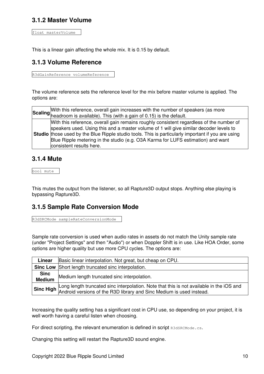### **3.1.2 Master Volume**

float masterVolume

This is a linear gain affecting the whole mix. It is 0.15 by default.

### **3.1.3 Volume Reference**

R3dGainReference volumeReference

The volume reference sets the reference level for the mix before master volume is applied. The options are:

| Scaling With this reference, overall gain increases with the number of speakers (as more Scaling the adroom is available). This (with a gain of 0.15) is the default.                                                                                                                                                                                                                                    |
|----------------------------------------------------------------------------------------------------------------------------------------------------------------------------------------------------------------------------------------------------------------------------------------------------------------------------------------------------------------------------------------------------------|
| With this reference, overall gain remains roughly consistent regardless of the number of<br>speakers used. Using this and a master volume of 1 will give similar decoder levels to<br>Studio those used by the Blue Ripple studio tools. This is particularly important if you are using<br>Blue Ripple metering in the studio (e.g. O3A Karma for LUFS estimation) and want<br>consistent results here. |

#### **3.1.4 Mute**

bool mute

This mutes the output from the listener, so all Rapture3D output stops. Anything else playing is bypassing Rapture3D.

#### **3.1.5 Sample Rate Conversion Mode**

R3dSRCMode sampleRateConversionMode

Sample rate conversion is used when audio rates in assets do not match the Unity sample rate (under "Project Settings" and then "Audio") or when Doppler Shift is in use. Like HOA Order, some options are higher quality but use more CPU cycles. The options are:

| Linear                       | Basic linear interpolation. Not great, but cheap on CPU.                                                                                                                |
|------------------------------|-------------------------------------------------------------------------------------------------------------------------------------------------------------------------|
|                              | <b>Sinc Low</b> Short length truncated sinc interpolation.                                                                                                              |
| <b>Sinc</b><br><b>Medium</b> | Medium length truncated sinc interpolation.                                                                                                                             |
|                              | Sinc High Long length truncated sinc interpolation. Note that this is not available in the iOS and Android versions of the R3D library and Sinc Medium is used instead. |

Increasing the quality setting has a significant cost in CPU use, so depending on your project, it is well worth having a careful listen when choosing.

For direct scripting, the relevant enumeration is defined in script R3dSRCMode.cs.

Changing this setting will restart the Rapture3D sound engine.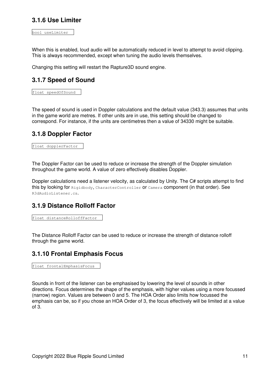### **3.1.6 Use Limiter**

bool useLimiter

When this is enabled, loud audio will be automatically reduced in level to attempt to avoid clipping. This is always recommended, except when tuning the audio levels themselves.

Changing this setting will restart the Rapture3D sound engine.

### **3.1.7 Speed of Sound**

float speedOfSound

The speed of sound is used in Doppler calculations and the default value (343.3) assumes that units in the game world are metres. If other units are in use, this setting should be changed to correspond. For instance, if the units are centimetres then a value of 34330 might be suitable.

#### **3.1.8 Doppler Factor**

float dopplerFactor

The Doppler Factor can be used to reduce or increase the strength of the Doppler simulation throughout the game world. A value of zero effectively disables Doppler.

Doppler calculations need a listener velocity, as calculated by Unity. The C# scripts attempt to find this by looking for Rigidbody, CharacterController or Camera component (in that order). See R3dAudioListener.cs.

#### **3.1.9 Distance Rolloff Factor**

```
float distanceRolloffFactor
```
The Distance Rolloff Factor can be used to reduce or increase the strength of distance rolloff through the game world.

#### **3.1.10 Frontal Emphasis Focus**

```
float frontalEmphasisFocus
```
Sounds in front of the listener can be emphasised by lowering the level of sounds in other directions. Focus determines the shape of the emphasis, with higher values using a more focussed (narrow) region. Values are between 0 and 5. The HOA Order also limits how focussed the emphasis can be, so if you chose an HOA Order of 3, the focus effectively will be limited at a value of 3.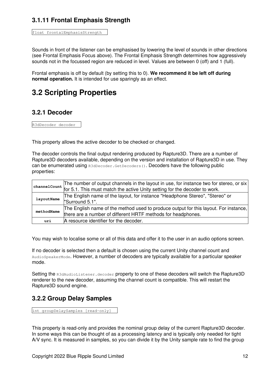### **3.1.11 Frontal Emphasis Strength**

float frontalEmphasisStrength

Sounds in front of the listener can be emphasised by lowering the level of sounds in other directions (see Frontal Emphasis Focus above). The Frontal Emphasis Strength determines how aggressively sounds not in the focussed region are reduced in level. Values are between 0 (off) and 1 (full).

Frontal emphasis is off by default (by setting this to 0). **We recommend it be left off during normal operation.** It is intended for use sparingly as an effect.

## <span id="page-14-0"></span>**3.2 Scripting Properties**

### **3.2.1 Decoder**

R3dDecoder decoder

This property allows the active decoder to be checked or changed.

The decoder controls the final output rendering produced by Rapture3D. There are a number of Rapture3D decoders available, depending on the version and installation of Rapture3D in use. They can be enumerated using R3dDecoder. GetDecoders(). Decoders have the following public properties:

|                                                                                                                                                                    | The number of output channels in the layout in use, for instance two for stereo, or six |
|--------------------------------------------------------------------------------------------------------------------------------------------------------------------|-----------------------------------------------------------------------------------------|
|                                                                                                                                                                    | structure of the active Unity setting for the decoder to work.                          |
| The English name of the layout, for instance "Headphone Stereo", "Stereo" or<br>layoutName<br>"Surround 5.1".                                                      |                                                                                         |
| The English name of the method used to produce output for this layout. For instance,<br>methodName<br>there are a number of different HRTF methods for headphones. |                                                                                         |
| uri                                                                                                                                                                | A resource identifier for the decoder.                                                  |

You may wish to localise some or all of this data and offer it to the user in an audio options screen.

If no decoder is selected then a default is chosen using the current Unity channel count and AudioSpeakerMode. However, a number of decoders are typically available for a particular speaker mode.

Setting the R3dAudioListener.decoder property to one of these decoders will switch the Rapture3D renderer to the new decoder, assuming the channel count is compatible. This will restart the Rapture3D sound engine.

### **3.2.2 Group Delay Samples**

int groupDelaySamples [read-only]

This property is read-only and provides the nominal group delay of the current Rapture3D decoder. In some ways this can be thought of as a processing latency and is typically only needed for tight A/V sync. It is measured in samples, so you can divide it by the Unity sample rate to find the group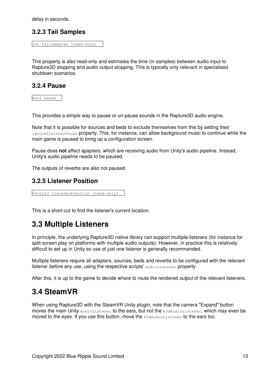delay in seconds.

### **3.2.3 Tail Samples**

int tailSamples [read-only]

This property is also read-only and estimates the time (in samples) between audio input to Rapture3D stopping and audio output stopping. This is typically only relevant in specialised shutdown scenarios.

#### **3.2.4 Pause**

bool pause

This provides a simple way to pause or un-pause sounds in the Rapture3D audio engine.

Note that it is possible for sources and beds to exclude themselves from this by setting their ignoreListenerPause property. This, for instance, can allow background music to continue while the main game is paused to bring up a configuration screen.

Pause does **not** affect apapters, which are receiving audio from Unity's audio pipeline. Instead, Unity's audio pipeline needs to be paused.

The outputs of reverbs are also not paused.

#### **3.2.5 Listener Position**

Vector3 listenerPosition [read-only]

This is a short-cut to find the listener's current location.

## <span id="page-15-0"></span>**3.3 Multiple Listeners**

In principle, the underlying Rapture3D native library can support multiple listeners (for instance for split-screen play on platforms with multiple audio outputs). However, in practice this is relatively difficult to set up in Unity so use of just one listener is generally recommended.

Multiple listeners require all adapters, sources, beds and reverbs to be configured with the relevant listener *before* any use, using the respective scripts' audioListener property.

After this, it is up to the game to decide where to route the rendered *output* of the relevant listeners.

## <span id="page-15-1"></span>**3.4 SteamVR**

When using Rapture3D with the SteamVR Unity plugin, note that the camera "Expand" button moves the main Unity AudioListener to the ears, but not the R3dAudioListener, which may even be moved to the eyes. If you use this button, move the R3dAudioListener to the ears too.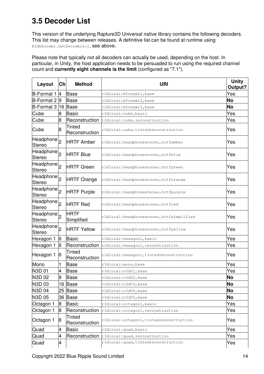## <span id="page-16-0"></span>**3.5 Decoder List**

This version of the underlying Rapture3D Universal native library contains the following decoders. This list may change between releases. A definitive list can be found at runtime using R3dDecoder.GetDecoders(), See above.

Please note that typically not all decoders can actually be used, depending on the host. In particular, in Unity, the host application needs to be persuaded to run using the required channel count and **currently eight channels is the limit** (configured as "7.1").

| Layout                                  | Ch              | <b>Method</b>             | <b>URI</b>                                | <b>Unity</b><br>Output? |
|-----------------------------------------|-----------------|---------------------------|-------------------------------------------|-------------------------|
| B-Format 1                              | 4               | <b>Base</b>               | r3dlocal:bformat1, base                   | Yes                     |
| $B$ -Format 2 $ 9$                      |                 | <b>Base</b>               | r3dlocal:bformat2, base                   | No                      |
| $B$ -Format 3  16                       |                 | <b>Base</b>               | r3dlocal:bformat3, base                   | No                      |
| Cube                                    | 8               | <b>Basic</b>              | r3dlocal:cube, basic                      | Yes                     |
| Cube                                    | 8               | Reconstruction            | r3dlocal: cube, reconstruction            | Yes                     |
| Cube                                    | 8               | Tinted<br>Reconstruction  | r3dlocal: cube, tintedreconstruction      | Yes                     |
| Headphone <sub>2</sub><br><b>Stereo</b> |                 | <b>HRTF Amber</b>         | r3dlocal: headphonestereo, hrtfamber      | Yes                     |
| Headphone <sub>2</sub><br><b>Stereo</b> |                 | <b>HRTF Blue</b>          | r3dlocal: headphonestereo, hrtfblue       | Yes                     |
| Headphone <sub>2</sub><br>Stereo        |                 | <b>HRTF Green</b>         | r3dlocal: headphonestereo, hrtfgreen      | Yes                     |
| Headphone <sub>2</sub><br><b>Stereo</b> |                 | <b>HRTF Orange</b>        | r3dlocal: headphonestereo, hrtforange     | Yes                     |
| Headphone <sub>2</sub><br><b>Stereo</b> |                 | <b>HRTF Purple</b>        | r3dlocal: headphonestereo, hrtfpurple     | Yes                     |
| Headphone <sub>2</sub><br><b>Stereo</b> |                 | <b>HRTF Red</b>           | r3dlocal: headphonestereo, hrtfred        | Yes                     |
| Headphone <sub>2</sub><br><b>Stereo</b> |                 | <b>HRTF</b><br>Simplified | r3dlocal: headphonestereo, hrtfsimplified | Yes                     |
| Headphone <sub>2</sub><br><b>Stereo</b> |                 | <b>HRTF Yellow</b>        | r3dlocal: headphonestereo, hrtfyellow     | Yes                     |
| Hexagon 1                               | $6\overline{6}$ | <b>Basic</b>              | r3dlocal: hexagon1, basic                 | Yes                     |
| Hexagon 1                               | 6               | Reconstruction            | r3dlocal: hexagon1, reconstruction        | Yes                     |
| Hexagon 1                               | 6               | Tinted<br>Reconstruction  | r3dlocal: hexagon1, tintedreconstruction  | Yes                     |
| Mono                                    |                 | Base                      | r3dlocal: mono, base                      | Yes                     |
| N3D 01                                  | 4               | <b>Base</b>               | r3dlocal:n3d01, base                      | Yes                     |
| N3D 02                                  | 9               | Base                      | r3dlocal:n3d02,base                       | No                      |
| N3D 03                                  | 16              | <b>Base</b>               | r3dlocal:n3d03, base                      | <b>No</b>               |
| N3D 04                                  | 25              | <b>Base</b>               | r3dlocal:n3d04,base                       | No                      |
| N3D 05                                  | 36              | <b>Base</b>               | r3dlocal:n3d05, base                      | No                      |
| Octagon 1                               | 8               | <b>Basic</b>              | r3dlocal: octagon1, basic                 | Yes                     |
| Octagon 1                               | 8               | Reconstruction            | r3dlocal: octagon1, reconstruction        | Yes                     |
| Octagon 1                               | 8               | Tinted<br>Reconstruction  | r3dlocal: octagon1, tintedreconstruction  | Yes                     |
| Quad                                    | 4               | <b>Basic</b>              | r3dlocal:quad, basic                      | Yes                     |
| Quad                                    | 4               | Reconstruction            | r3dlocal: quad, reconstruction            | Yes                     |
| Quad                                    | 4               |                           | r3dlocal: quad, tintedreconstruction      | Yes                     |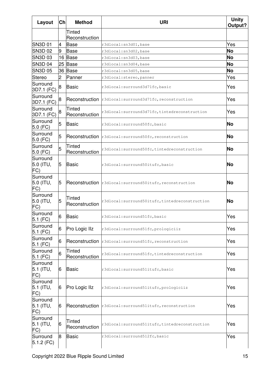| Layout                       | Ch | <b>Method</b>            | <b>URI</b>                                                 | <b>Unity</b><br>Output? |
|------------------------------|----|--------------------------|------------------------------------------------------------|-------------------------|
|                              |    | Tinted<br>Reconstruction |                                                            |                         |
| <b>SN3D 01</b>               | 4  | Base                     | r3dlocal:sn3d01,base                                       | Yes                     |
| <b>SN3D 02</b>               | 9  | Base                     | r3dlocal:sn3d02,base                                       | <b>No</b>               |
| SN3D 03                      | 16 | Base                     | r3dlocal:sn3d03,base                                       | <b>No</b>               |
| SN3D <sub>04</sub>           | 25 | <b>Base</b>              | r3dlocal:sn3d04,base                                       | <b>No</b>               |
| <b>SN3D 05</b>               | 36 | Base                     | r3dlocal:sn3d05,base                                       | <b>No</b>               |
| Stereo                       | 2  | Panner                   | r3dlocal: stereo, panner                                   | Yes                     |
| Surround<br>3D7.1 (FC)       | 8  | Basic                    | r3dlocal: surround3d71fc, basic                            | Yes                     |
| Surround<br>3D7.1 (FC)       | 8  |                          | Reconstruction r3dlocal: surround3d71fc, reconstruction    | Yes                     |
| Surround<br>3D7.1 (FC)       | 8  | Tinted<br>Reconstruction | r3dlocal: surround3d71fc, tintedreconstruction             | Yes                     |
| Surround<br>$5.0$ (FC)       | 5  | Basic                    | r3dlocal: surround50fc, basic                              | <b>No</b>               |
| Surround<br>$5.0$ (FC)       | 5  |                          | Reconstruction r3dlocal: surround50fc, reconstruction      | <b>No</b>               |
| Surround<br>$5.0$ (FC)       | 5  | Tinted<br>Reconstruction | r3dlocal: surround50fc, tintedreconstruction               | <b>No</b>               |
| Surround<br>5.0 (ITU,<br>FC) | 5  | Basic                    | r3dlocal: surround50itufc, basic                           | <b>No</b>               |
| Surround<br>5.0 (ITU,<br>FC) | 5  |                          | Reconstruction   r3dlocal: surround50itufc, reconstruction | No                      |
| Surround<br>5.0 (ITU,<br>FC) | 5  | Tinted<br>Reconstruction | r3dlocal: surround50itufc, tintedreconstruction            | No                      |
| Surround<br>$5.1$ (FC)       | 6  | <b>Basic</b>             | r3dlocal: surround51fc, basic                              | Yes                     |
| Surround<br>$5.1$ (FC)       | 6  | Pro Logic IIz            | r3dlocal: surround51fc, prologiciiz                        | Yes                     |
| Surround<br>$5.1$ (FC)       | 6  |                          | Reconstruction r3dlocal: surround51fc, reconstruction      | Yes                     |
| Surround<br>$5.1$ (FC)       | 6  | Tinted<br>Reconstruction | r3dlocal: surround51fc, tintedreconstruction               | Yes                     |
| Surround<br>5.1 (ITU,<br>FC) | 6  | <b>Basic</b>             | r3dlocal: surround51itufc, basic                           | Yes                     |
| Surround<br>5.1 (ITU,<br>FC) | 6  | Pro Logic IIz            | r3dlocal: surround51itufc, prologiciiz                     | Yes                     |
| Surround<br>5.1 (ITU,<br>FC) | 6  |                          | Reconstruction r3dlocal: surround51itufc, reconstruction   | Yes                     |
| Surround<br>5.1 (ITU,<br>FC) | 6  | Tinted<br>Reconstruction | r3dlocal: surround51itufc, tintedreconstruction            | Yes                     |
| Surround<br>$5.1.2$ (FC)     | 8  | Basic                    | r3dlocal:surround512fc,basic                               | Yes                     |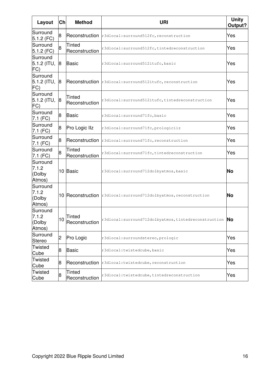| Layout                                | Ch             | <b>Method</b>                   | <b>URI</b>                                                        | <b>Unity</b><br>Output? |
|---------------------------------------|----------------|---------------------------------|-------------------------------------------------------------------|-------------------------|
| Surround<br>$5.1.2$ (FC)              | 8              |                                 | Reconstruction r3dlocal: surround512fc, reconstruction            | Yes                     |
| Surround<br>$5.1.2$ (FC)              | 8              | Tinted<br>Reconstruction        | r3dlocal: surround512fc, tintedreconstruction                     | Yes                     |
| Surround<br>$5.1.2$ (ITU, 8<br>FC)    |                | Basic                           | r3dlocal: surround512itufc, basic                                 | Yes                     |
| Surround<br>$5.1.2$ (ITU,<br>(FC      | 8              |                                 | <b>Reconstruction</b> r3dlocal: surround512itufc, reconstruction  | Yes                     |
| Surround<br>$5.1.2$ (ITU,<br>FC)      | 8              | Tinted<br>Reconstruction        | r3dlocal: surround512itufc, tintedreconstruction                  | Yes                     |
| Surround<br>7.1 (FC)                  | 8              | Basic                           | r3dlocal: surround71fc, basic                                     | Yes                     |
| Surround<br>7.1 (FC)                  | 8              | Pro Logic IIz                   | r3dlocal: surround71fc, prologiciiz                               | Yes                     |
| Surround<br>$7.1$ (FC)                | 8              |                                 | Reconstruction r3dlocal: surround71fc, reconstruction             | Yes                     |
| Surround<br>7.1 (FC)                  | 8              | <b>Tinted</b><br>Reconstruction | r3dlocal: surround71fc, tintedreconstruction                      | Yes                     |
| Surround<br>7.1.2<br>(Dolby<br>Atmos) |                | 10 Basic                        | r3dlocal: surround712dolbyatmos, basic                            | <b>No</b>               |
| Surround<br>7.1.2<br>(Dolby<br>Atmos) |                |                                 | 10 Reconstruction r3dlocal: surround712dolbyatmos, reconstruction | No                      |
| Surround<br>7.1.2<br>(Dolby<br>Atmos) | 10             | Tinted<br>Reconstruction        | r3dlocal:surround712dolbyatmos, tintedreconstruction No           |                         |
| Surround<br>Stereo                    | $\overline{2}$ | Pro Logic                       | r3dlocal: surroundstereo, prologic                                | Yes                     |
| Twisted<br>Cube                       | 8              | Basic                           | r3dlocal:twistedcube, basic                                       | Yes                     |
| Twisted<br>Cube                       | 8              | Reconstruction                  | r3dlocal:twistedcube, reconstruction                              | Yes                     |
| <b>Twisted</b><br>Cube                | 8              | Tinted<br>Reconstruction        | r3dlocal:twistedcube, tintedreconstruction                        | Yes                     |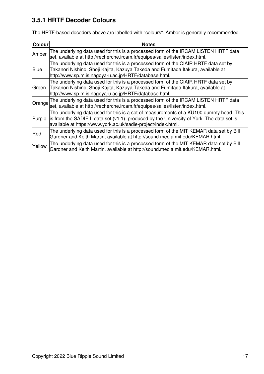## **3.5.1 HRTF Decoder Colours**

The HRTF-based decoders above are labelled with "colours". Amber is generally recommended.

<span id="page-19-0"></span>

| <b>Colour</b> | <b>Notes</b>                                                                                                                                                                                                                                         |  |
|---------------|------------------------------------------------------------------------------------------------------------------------------------------------------------------------------------------------------------------------------------------------------|--|
| Amber         | The underlying data used for this is a processed form of the IRCAM LISTEN HRTF data<br>set, available at http://recherche.ircam.fr/equipes/salles/listen/index.html.                                                                                 |  |
| <b>Blue</b>   | The underlying data used for this is a processed form of the CIAIR HRTF data set by<br>Takanori Nishino, Shoji Kajita, Kazuya Takeda and Fumitada Itakura, available at<br>http://www.sp.m.is.nagoya-u.ac.jp/HRTF/database.html.                     |  |
| Green         | The underlying data used for this is a processed form of the CIAIR HRTF data set by<br>Takanori Nishino, Shoji Kajita, Kazuya Takeda and Fumitada Itakura, available at<br>http://www.sp.m.is.nagoya-u.ac.jp/HRTF/database.html.                     |  |
| Orange        | The underlying data used for this is a processed form of the IRCAM LISTEN HRTF data<br>set, available at http://recherche.ircam.fr/equipes/salles/listen/index.html.                                                                                 |  |
| Purple        | The underlying data used for this is a set of measurements of a KU100 dummy head. This<br>is from the SADIE II data set (v1.1), produced by the University of York. The data set is<br>available at https://www.york.ac.uk/sadie-project/index.html. |  |
| Red           | The underlying data used for this is a processed form of the MIT KEMAR data set by Bill<br>Gardner and Keith Martin, available at http://sound.media.mit.edu/KEMAR.html.                                                                             |  |
| Yellow        | The underlying data used for this is a processed form of the MIT KEMAR data set by Bill<br>Gardner and Keith Martin, available at http://sound.media.mit.edu/KEMAR.html.                                                                             |  |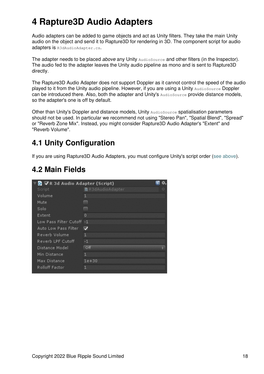# **4 Rapture3D Audio Adapters**

Audio adapters can be added to game objects and act as Unity filters. They take the main Unity audio on the object and send it to Rapture3D for rendering in 3D. The component script for audio adapters is R3dAudioAdapter.cs.

The adapter needs to be placed *above* any Unity AudioSource and other filters (in the Inspector). The audio fed to the adapter leaves the Unity audio pipeline as mono and is sent to Rapture3D directly.

The Rapture3D Audio Adapter does not support Doppler as it cannot control the speed of the audio played to it from the Unity audio pipeline. However, if you are using a Unity AudioSource Doppler can be introduced there. Also, both the adapter and Unity's **AudioSource** provide distance models, so the adapter's one is off by default.

Other than Unity's Doppler and distance models, Unity AudioSource spatialisation parameters should not be used. In particular we recommend not using "Stereo Pan", "Spatial Blend", "Spread" or "Reverb Zone Mix". Instead, you might consider Rapture3D Audio Adapter's "Extent" and "Reverb Volume".

## <span id="page-20-0"></span>**4.1 Unity Configuration**

If you are using Rapture3D Audio Adapters, you must configure Unity's script order [\(see above](#page-4-1)).

## **4.2 Main Fields**

<span id="page-20-1"></span>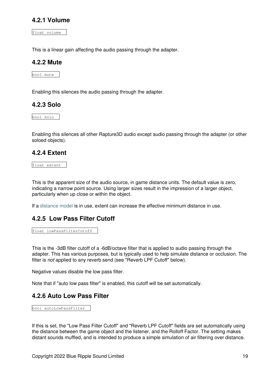#### **4.2.1 Volume**

float volume

This is a linear gain affecting the audio passing through the adapter.

#### **4.2.2 Mute**

bool mute

Enabling this silences the audio passing through the adapter.

#### **4.2.3 Solo**

bool solo

Enabling this silences all other Rapture3D audio except audio passing through the adapter (or other soloed objects).

#### **4.2.4 Extent**

float extent

This is the apparent size of the audio source, in game distance units. The default value is zero, indicating a narrow point source. Using larger sizes result in the impression of a larger object, particularly when up close or within the object.

If a [distance model](#page-42-0) is in use, extent can increase the effective minimum distance in use.

#### **4.2.5 Low Pass Filter Cutoff**

float lowPassFilterCutoff

This is the -3dB filter cutoff of a -6dB/octave filter that is applied to audio passing through the adapter. This has various purposes, but is typically used to help simulate distance or occlusion. The filter is *not* applied to any reverb send (see "Reverb LPF Cutoff" below).

Negative values disable the low pass filter.

Note that if "auto low pass filter" is enabled, this cutoff will be set automatically.

#### **4.2.6 Auto Low Pass Filter**

bool autoLowPassFilter

If this is set, the "Low Pass Filter Cutoff" and "Reverb LPF Cutoff" fields are set automatically using the distance between the game object and the listener, and the Rolloff Factor. The setting makes distant sounds muffled, and is intended to produce a simple simulation of air filtering over distance.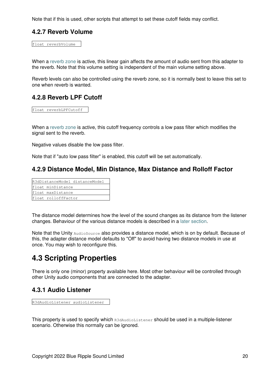Note that if this is used, other scripts that attempt to set these cutoff fields may conflict.

#### **4.2.7 Reverb Volume**

float reverbVolume

When a [reverb zone](#page-38-0) is active, this linear gain affects the amount of audio sent from this adapter to the reverb. Note that this volume setting is independent of the main volume setting above.

Reverb levels can also be controlled using the reverb zone, so it is normally best to leave this set to one when reverb is wanted.

#### **4.2.8 Reverb LPF Cutoff**

float reverbLPFCutoff

When a [reverb zone](#page-38-0) is active, this cutoff frequency controls a low pass filter which modifies the signal sent to the reverb.

Negative values disable the low pass filter.

Note that if "auto low pass filter" is enabled, this cutoff will be set automatically.

#### **4.2.9 Distance Model, Min Distance, Max Distance and Rolloff Factor**

| R3dDistanceModel distanceModel |                     |  |
|--------------------------------|---------------------|--|
|                                | float minDistance   |  |
|                                | float maxDistance   |  |
|                                | float rolloffFactor |  |

The distance model determines how the level of the sound changes as its distance from the listener changes. Behaviour of the various distance models is described in a [later section.](#page-42-0)

Note that the Unity AudioSource also provides a distance model, which is on by default. Because of this, the adapter distance model defaults to "Off" to avoid having two distance models in use at once. You may wish to reconfigure this.

## <span id="page-22-0"></span>**4.3 Scripting Properties**

There is only one (minor) property available here. Most other behaviour will be controlled through other Unity audio components that are connected to the adapter.

#### **4.3.1 Audio Listener**

```
R3dAudioListener audioListener
```
<span id="page-22-1"></span>This property is used to specify which R3dAudioListener should be used in a multiple-listener scenario. Otherwise this normally can be ignored.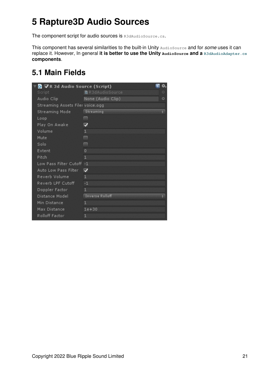# **5 Rapture3D Audio Sources**

The component script for audio sources is R3dAudioSource.cs.

This component has several similarities to the built-in Unity AudioSource and for *some* uses it can replace it. However, In general **it is better to use the Unity AudioSource and a [R3dAudioAdapter.cs](#page-19-0) components**.

## <span id="page-23-0"></span>**5.1 Main Fields**

| ■R3dAudioSource        | 0                                                                                                                         |
|------------------------|---------------------------------------------------------------------------------------------------------------------------|
| None (Audio Clip)      | O                                                                                                                         |
|                        |                                                                                                                           |
| Streaming              |                                                                                                                           |
|                        |                                                                                                                           |
|                        |                                                                                                                           |
| $\mathbf{1}$           |                                                                                                                           |
|                        |                                                                                                                           |
|                        |                                                                                                                           |
| $\overline{0}$         |                                                                                                                           |
| 1                      |                                                                                                                           |
|                        |                                                                                                                           |
|                        |                                                                                                                           |
| 1.                     |                                                                                                                           |
| $-1$                   |                                                                                                                           |
| $\mathbf{1}$           |                                                                                                                           |
| <b>Inverse Rolloff</b> |                                                                                                                           |
| 1                      |                                                                                                                           |
| $1e + 30$              |                                                                                                                           |
| 1                      |                                                                                                                           |
|                        | G ∨R 3d Audio Source (Script)<br>Streaming Assets Filer voice.ogg<br>Low Pass Filter Cutoff -1<br>$\overline{\mathbf{v}}$ |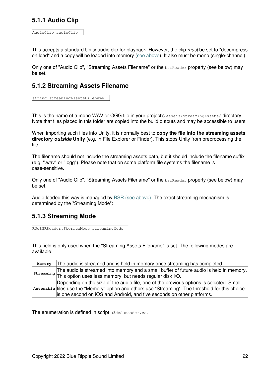### **5.1.1 Audio Clip**

AudioClip audioClip

This accepts a standard Unity audio clip for playback. However, the clip *must* be set to "decompress on load" and a copy will be loaded into memory ([see above\)](#page-9-3). It also must be mono (single-channel).

Only one of "Audio Clip", "Streaming Assets Filename" or the **bsrReader** property (see below) may be set.

#### **5.1.2 Streaming Assets Filename**

string streamingAssetsFilename

This is the name of a mono WAV or OGG file in your project's Assets/StreamingAssets/ directory. Note that files placed in this folder are copied into the build outputs and may be accessible to users.

When importing such files into Unity, it is normally best to **copy the file into the streaming assets directory** *outside* **Unity** (e.g. in File Explorer or Finder). This stops Unity from preprocessing the file.

The filename should not include the streaming assets path, but it should include the filename suffix (e.g. ".wav" or ".ogg"). Please note that on some platform file systems the filename is case-sensitive.

Only one of "Audio Clip", "Streaming Assets Filename" or the **bsrReader** property (see below) may be set.

Audio loaded this way is managed by [BSR \(see above\)](#page-44-2). The exact streaming mechanism is determined by the "Streaming Mode":

### **5.1.3 Streaming Mode**

R3dBSRReader.StorageMode streamingMode

This field is only used when the "Streaming Assets Filename" is set. The following modes are available:

| Memory | The audio is streamed and is held in memory once streaming has completed.                         |  |
|--------|---------------------------------------------------------------------------------------------------|--|
|        | The audio is streamed into memory and a small buffer of future audio is held in memory.           |  |
|        | streaming This option uses less memory, but needs regular disk I/O.                               |  |
|        | Depending on the size of the audio file, one of the previous options is selected. Small           |  |
|        | Automatic files use the "Memory" option and others use "Streaming". The threshold for this choice |  |
|        | is one second on iOS and Android, and five seconds on other platforms.                            |  |

The enumeration is defined in script R3dBSRReader.cs.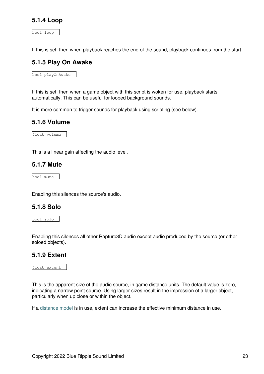#### **5.1.4 Loop**

bool loop

If this is set, then when playback reaches the end of the sound, playback continues from the start.

#### **5.1.5 Play On Awake**

bool playOnAwake

If this is set, then when a game object with this script is woken for use, playback starts automatically. This can be useful for looped background sounds.

It is more common to trigger sounds for playback using scripting (see below).

#### **5.1.6 Volume**

float volume

This is a linear gain affecting the audio level.

#### **5.1.7 Mute**

bool mute

Enabling this silences the source's audio.

#### **5.1.8 Solo**

bool solo

Enabling this silences all other Rapture3D audio except audio produced by the source (or other soloed objects).

#### **5.1.9 Extent**

float extent

This is the apparent size of the audio source, in game distance units. The default value is zero, indicating a narrow point source. Using larger sizes result in the impression of a larger object, particularly when up close or within the object.

If a [distance model](#page-42-0) is in use, extent can increase the effective minimum distance in use.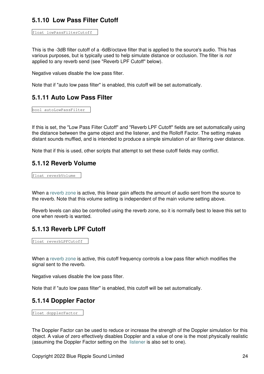### **5.1.10 Low Pass Filter Cutoff**

```
float lowPassFilterCutoff
```
This is the -3dB filter cutoff of a -6dB/octave filter that is applied to the source's audio. This has various purposes, but is typically used to help simulate distance or occlusion. The filter is *not* applied to any reverb send (see "Reverb LPF Cutoff" below).

Negative values disable the low pass filter.

Note that if "auto low pass filter" is enabled, this cutoff will be set automatically.

#### **5.1.11 Auto Low Pass Filter**

bool autoLowPassFilter

If this is set, the "Low Pass Filter Cutoff" and "Reverb LPF Cutoff" fields are set automatically using the distance between the game object and the listener, and the Rolloff Factor. The setting makes distant sounds muffled, and is intended to produce a simple simulation of air filtering over distance.

Note that if this is used, other scripts that attempt to set these cutoff fields may conflict.

#### **5.1.12 Reverb Volume**

float reverbVolume

When a [reverb zone](#page-38-0) is active, this linear gain affects the amount of audio sent from the source to the reverb. Note that this volume setting is independent of the main volume setting above.

Reverb levels can also be controlled using the reverb zone, so it is normally best to leave this set to one when reverb is wanted.

#### **5.1.13 Reverb LPF Cutoff**

float reverbLPFCutoff

When a [reverb zone](#page-38-0) is active, this cutoff frequency controls a low pass filter which modifies the signal sent to the reverb.

Negative values disable the low pass filter.

Note that if "auto low pass filter" is enabled, this cutoff will be set automatically.

#### **5.1.14 Doppler Factor**

float dopplerFactor

The Doppler Factor can be used to reduce or increase the strength of the Doppler simulation for this object. A value of zero effectively disables Doppler and a value of one is the most physically realistic (assuming the Doppler Factor setting on the [listener](#page-10-0) is also set to one).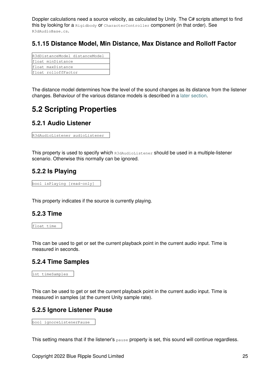Doppler calculations need a source velocity, as calculated by Unity. The C# scripts attempt to find this by looking for a Rigidbody or CharacterController component (in that order). See R3dAudioBase.cs.

### **5.1.15 Distance Model, Min Distance, Max Distance and Rolloff Factor**

| R3dDistanceModel distanceModel |                     |  |
|--------------------------------|---------------------|--|
|                                | float minDistance   |  |
|                                | float maxDistance   |  |
|                                | float rolloffFactor |  |

The distance model determines how the level of the sound changes as its distance from the listener changes. Behaviour of the various distance models is described in a [later section.](#page-42-0)

## <span id="page-27-0"></span>**5.2 Scripting Properties**

### **5.2.1 Audio Listener**

R3dAudioListener audioListener

This property is used to specify which R3dAudioListener should be used in a multiple-listener scenario. Otherwise this normally can be ignored.

#### **5.2.2 Is Playing**

bool isPlaying [read-only]

This property indicates if the source is currently playing.

#### **5.2.3 Time**

float time

This can be used to get or set the current playback point in the current audio input. Time is measured in seconds.

#### **5.2.4 Time Samples**

```
int timeSamples
```
This can be used to get or set the current playback point in the current audio input. Time is measured in samples (at the current Unity sample rate).

#### **5.2.5 Ignore Listener Pause**

bool ignoreListenerPause

This setting means that if the listener's pause property is set, this sound will continue regardless.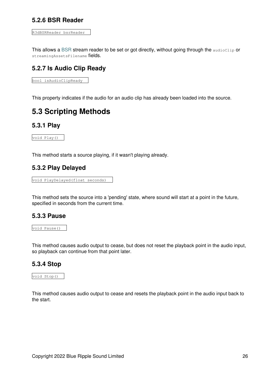#### **5.2.6 BSR Reader**

```
R3dBSRReader bsrReader
```
This allows a [BSR](#page-44-2) stream reader to be set or got directly, without going through the audioClip or streamingAssetsFilename fields.

### **5.2.7 Is Audio Clip Ready**

bool isAudioClipReady

This property indicates if the audio for an audio clip has already been loaded into the source.

## <span id="page-28-0"></span>**5.3 Scripting Methods**

#### **5.3.1 Play**

void Play()

This method starts a source playing, if it wasn't playing already.

#### **5.3.2 Play Delayed**

void PlayDelayed(float seconds)

This method sets the source into a 'pending' state, where sound will start at a point in the future, specified in seconds from the current time.

#### **5.3.3 Pause**

void Pause()

This method causes audio output to cease, but does not reset the playback point in the audio input, so playback can continue from that point later.

#### **5.3.4 Stop**

void Stop()

This method causes audio output to cease and resets the playback point in the audio input back to the start.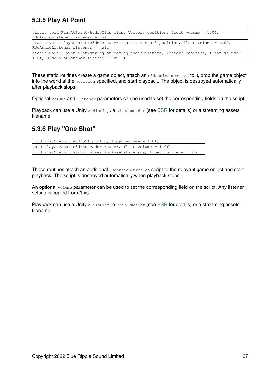### **5.3.5 Play At Point**

| static void PlayAtPoint (AudioClip clip, Vector3 position, float volume = $1.0f$ ,<br>R3dAudioListener listener = null)                 |
|-----------------------------------------------------------------------------------------------------------------------------------------|
| static void PlayAtPoint (R3dBSRReader reader, Vector3 position, float volume = $1.0f$ ,<br>R3dAudioListener listener = null)            |
| static void PlayAtPoint (string streamingAssetsFilename, Vector3 position, float volume =<br>$1.0f$ , R3dAudioListener listener = null) |

These static routines create a game object, attach an R3dAudioSource.cs to it, drop the game object into the world at the  $position$  specified, and start playback. The object is destroyed automatically after playback stops.

Optional volume and listener parameters can be used to set the corresponding fields on the script.

Playback can use a Unity AudioClip. a R3d[BSR](#page-44-2)Reader (see BSR for details) or a streaming assets filename.

### **5.3.6 Play "One Shot"**

```
void PlayOneShot(AudioClip clip, float volume = 1.0f)
void PlayOneShot(R3dBSRReader reader, float volume = 1.0f)
void PlayOneShot(string streamingAssetsFilename, float volume = 1.0f)
```
These routines attach an additional R3dAudioSource.cs script to the relevant game object and start playback. The script is destroyed automatically when playback stops.

An optional volume parameter can be used to set the corresponding field on the script. Any listener setting is copied from "this".

<span id="page-29-0"></span>Playback can use a Unity AudioClip. a R3d[BSR](#page-44-2)Reader (see BSR for details) or a streaming assets filename.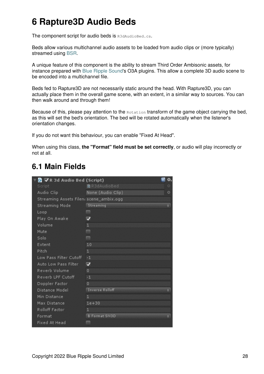# **6 Rapture3D Audio Beds**

The component script for audio beds is R3dAudioBed.cs.

Beds allow various multichannel audio assets to be loaded from audio clips or (more typically) streamed using [BSR.](#page-44-2)

A unique feature of this component is the ability to stream Third Order Ambisonic assets, for instance prepared with [Blue Ripple Sound](http://www.blueripplesound.com)'s O3A plugins. This allow a complete 3D audio scene to be encoded into a multichannel file.

Beds fed to Rapture3D are not necessarily static around the head. With Rapture3D, you can actually place them in the overall game scene, with an extent, in a similar way to sources. You can then walk around and through them!

Because of this, please pay attention to the Rotation transform of the game object carrying the bed, as this will set the bed's orientation. The bed will be rotated automatically when the listener's orientation changes.

If you do not want this behaviour, you can enable "Fixed At Head".

When using this class, **the "Format" field must be set correctly**, or audio will play incorrectly or not at all.

## <span id="page-30-0"></span>**6.1 Main Fields**

| G ∨R 3d Audio Bed (Script)              |                         |   |
|-----------------------------------------|-------------------------|---|
| Script                                  | <b>R</b> R3dAudioBed    | 0 |
| Audio Clip                              | None (Audio Clip)       | O |
| Streaming Assets Filen، scene_ambix.ogg |                         |   |
| Streaming Mode                          | Streaming               | ÷ |
| Loop                                    | m.                      |   |
| Play On Awake                           | ⊽                       |   |
| Volume                                  | $\mathbf{1}$            |   |
| Mute                                    | F                       |   |
| Solo                                    | m                       |   |
| Extent                                  | 10                      |   |
| Pitch                                   | $\mathbf{1}$            |   |
| Low Pass Filter Cutoff                  | $-1$                    |   |
| Auto Low Pass Filter                    | $\overline{\mathbf{v}}$ |   |
| Reverb Volume                           | $\Omega$                |   |
| Reverb LPF Cutoff                       | $-1$                    |   |
| Doppler Factor                          | $\overline{0}$          |   |
| Distance Model                          | <b>Inverse Rolloff</b>  |   |
| Min Distance                            | $\mathbf{1}$            |   |
| Max Distance                            | $1e + 30$               |   |
| Rolloff Factor                          | $\mathbf{1}$            |   |
| Format                                  | <b>B</b> Format SN3D    |   |
| Fixed At Head                           |                         |   |
|                                         |                         |   |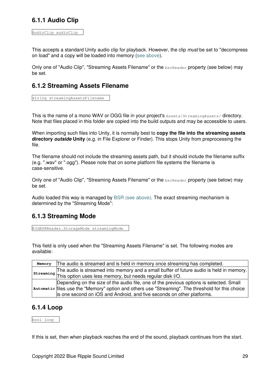### **6.1.1 Audio Clip**

AudioClip audioClip

This accepts a standard Unity audio clip for playback. However, the clip *must* be set to "decompress on load" and a copy will be loaded into memory ([see above\)](#page-9-3).

Only one of "Audio Clip", "Streaming Assets Filename" or the bsrReader property (see below) may be set.

### **6.1.2 Streaming Assets Filename**

string streamingAssetsFilename

This is the name of a mono WAV or OGG file in your project's Assets/StreamingAssets/ directory. Note that files placed in this folder are copied into the build outputs and may be accessible to users.

When importing such files into Unity, it is normally best to **copy the file into the streaming assets directory** *outside* **Unity** (e.g. in File Explorer or Finder). This stops Unity from preprocessing the file.

The filename should not include the streaming assets path, but it should include the filename suffix (e.g. ".wav" or ".ogg"). Please note that on some platform file systems the filename is case-sensitive.

Only one of "Audio Clip", "Streaming Assets Filename" or the **bsrReader** property (see below) may be set.

Audio loaded this way is managed by [BSR \(see above\)](#page-44-2). The exact streaming mechanism is determined by the "Streaming Mode":

### **6.1.3 Streaming Mode**

R3dBSRReader.StorageMode streamingMode

This field is only used when the "Streaming Assets Filename" is set. The following modes are available:

|  | Memory The audio is streamed and is held in memory once streaming has completed.                  |  |
|--|---------------------------------------------------------------------------------------------------|--|
|  | The audio is streamed into memory and a small buffer of future audio is held in memory.           |  |
|  | $\vert$ streaming $\vert$ This option uses less memory, but needs regular disk I/O.               |  |
|  | Depending on the size of the audio file, one of the previous options is selected. Small           |  |
|  | automatic files use the "Memory" option and others use "Streaming". The threshold for this choice |  |
|  | is one second on iOS and Android, and five seconds on other platforms.                            |  |

#### **6.1.4 Loop**

bool loop

If this is set, then when playback reaches the end of the sound, playback continues from the start.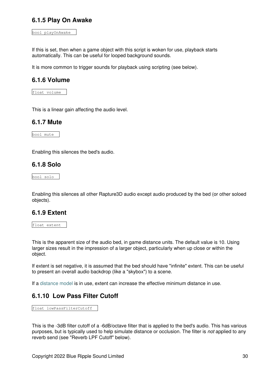#### **6.1.5 Play On Awake**

bool playOnAwake

If this is set, then when a game object with this script is woken for use, playback starts automatically. This can be useful for looped background sounds.

It is more common to trigger sounds for playback using scripting (see below).

#### **6.1.6 Volume**

float volume

This is a linear gain affecting the audio level.

#### **6.1.7 Mute**

bool mute

Enabling this silences the bed's audio.

#### **6.1.8 Solo**

bool solo

Enabling this silences all other Rapture3D audio except audio produced by the bed (or other soloed objects).

#### **6.1.9 Extent**

float extent

This is the apparent size of the audio bed, in game distance units. The default value is 10. Using larger sizes result in the impression of a larger object, particularly when up close or within the object.

If extent is set negative, it is assumed that the bed should have "infinite" extent. This can be useful to present an overall audio backdrop (like a "skybox") to a scene.

If a [distance model](#page-42-0) is in use, extent can increase the effective minimum distance in use.

#### **6.1.10 Low Pass Filter Cutoff**

float lowPassFilterCutoff

This is the -3dB filter cutoff of a -6dB/octave filter that is applied to the bed's audio. This has various purposes, but is typically used to help simulate distance or occlusion. The filter is *not* applied to any reverb send (see "Reverb LPF Cutoff" below).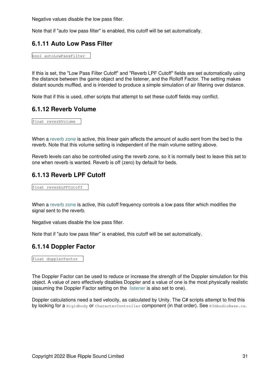Negative values disable the low pass filter.

Note that if "auto low pass filter" is enabled, this cutoff will be set automatically.

#### **6.1.11 Auto Low Pass Filter**

bool autoLowPassFilter

If this is set, the "Low Pass Filter Cutoff" and "Reverb LPF Cutoff" fields are set automatically using the distance between the game object and the listener, and the Rolloff Factor. The setting makes distant sounds muffled, and is intended to produce a simple simulation of air filtering over distance.

Note that if this is used, other scripts that attempt to set these cutoff fields may conflict.

#### **6.1.12 Reverb Volume**

float reverbVolume

When a [reverb zone](#page-38-0) is active, this linear gain affects the amount of audio sent from the bed to the reverb. Note that this volume setting is independent of the main volume setting above.

Reverb levels can also be controlled using the reverb zone, so it is normally best to leave this set to one when reverb is wanted. Reverb is off (zero) by default for beds.

#### **6.1.13 Reverb LPF Cutoff**

float reverbLPFCutoff

When a [reverb zone](#page-38-0) is active, this cutoff frequency controls a low pass filter which modifies the signal sent to the reverb.

Negative values disable the low pass filter.

Note that if "auto low pass filter" is enabled, this cutoff will be set automatically.

#### **6.1.14 Doppler Factor**

float dopplerFactor

The Doppler Factor can be used to reduce or increase the strength of the Doppler simulation for this object. A value of zero effectively disables Doppler and a value of one is the most physically realistic (assuming the Doppler Factor setting on the [listener](#page-10-0) is also set to one).

Doppler calculations need a bed velocity, as calculated by Unity. The C# scripts attempt to find this by looking for a Rigidbody or CharacterController component (in that order). See R3dAudioBase.cs.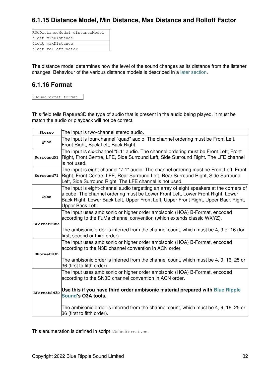### **6.1.15 Distance Model, Min Distance, Max Distance and Rolloff Factor**

|                     | R3dDistanceModel distanceModel |
|---------------------|--------------------------------|
| float minDistance   |                                |
| float maxDistance   |                                |
| float rolloffFactor |                                |

The distance model determines how the level of the sound changes as its distance from the listener changes. Behaviour of the various distance models is described in a [later section.](#page-42-0)

#### **6.1.16 Format**

R3dBedFormat format

This field tells Rapture3D the type of audio that is present in the audio being played. It must be match the audio or playback will not be correct.

| Stereo                                                                                                                                                                                                                                                                                         | The input is two-channel stereo audio.                                                                                                                                                                                                        |  |  |
|------------------------------------------------------------------------------------------------------------------------------------------------------------------------------------------------------------------------------------------------------------------------------------------------|-----------------------------------------------------------------------------------------------------------------------------------------------------------------------------------------------------------------------------------------------|--|--|
| Quad                                                                                                                                                                                                                                                                                           | The input is four-channel "quad" audio. The channel ordering must be Front Left,<br>Front Right, Back Left, Back Right.                                                                                                                       |  |  |
| Surround51                                                                                                                                                                                                                                                                                     | The input is six-channel "5.1" audio. The channel ordering must be Front Left, Front<br>Right, Front Centre, LFE, Side Surround Left, Side Surround Right. The LFE channel<br>is not used.                                                    |  |  |
| Surround71                                                                                                                                                                                                                                                                                     | The input is eight-channel "7.1" audio. The channel ordering must be Front Left, Front<br>Right, Front Centre, LFE, Rear Surround Left, Rear Surround Right, Side Surround<br>Left, Side Surround Right. The LFE channel is not used.         |  |  |
| The input is eight-channel audio targetting an array of eight speakers at the corners of<br>a cube. The channel ordering must be Lower Front Left, Lower Front Right, Lower<br>Cube<br>Back Right, Lower Back Left, Upper Front Left, Upper Front Right, Upper Back Right,<br>Upper Back Left. |                                                                                                                                                                                                                                               |  |  |
| BFormatFuMa                                                                                                                                                                                                                                                                                    | The input uses ambisonic or higher order ambisonic (HOA) B-Format, encoded<br>according to the FuMa channel convention (which extends classic WXYZ).<br>The ambisonic order is inferred from the channel count, which must be 4, 9 or 16 (for |  |  |
|                                                                                                                                                                                                                                                                                                | first, second or third order).                                                                                                                                                                                                                |  |  |
| BFormatN3D                                                                                                                                                                                                                                                                                     | The input uses ambisonic or higher order ambisonic (HOA) B-Format, encoded<br>according to the N3D channel convention in ACN order.                                                                                                           |  |  |
|                                                                                                                                                                                                                                                                                                | The ambisonic order is inferred from the channel count, which must be 4, 9, 16, 25 or<br>36 (first to fifth order).                                                                                                                           |  |  |
|                                                                                                                                                                                                                                                                                                | The input uses ambisonic or higher order ambisonic (HOA) B-Format, encoded<br>according to the SN3D channel convention in ACN order.                                                                                                          |  |  |
| BFormatSN3D                                                                                                                                                                                                                                                                                    | Use this if you have third order ambisonic material prepared with Blue Ripple<br><b>Sound's O3A tools.</b>                                                                                                                                    |  |  |
|                                                                                                                                                                                                                                                                                                | The ambisonic order is inferred from the channel count, which must be 4, 9, 16, 25 or<br>36 (first to fifth order).                                                                                                                           |  |  |

This enumeration is defined in script R3dBedFormat.cs.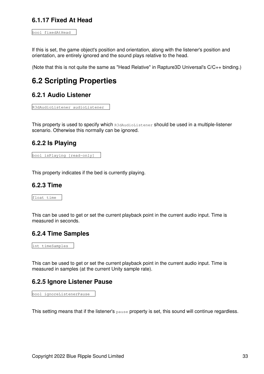### **6.1.17 Fixed At Head**

bool fixedAtHead

If this is set, the game object's position and orientation, along with the listener's position and orientation, are entirely ignored and the sound plays relative to the head.

(Note that this is not quite the same as "Head Relative" in Rapture3D Universal's C/C++ binding.)

## <span id="page-35-0"></span>**6.2 Scripting Properties**

#### **6.2.1 Audio Listener**

```
R3dAudioListener audioListener
```
This property is used to specify which R3dAudioListener should be used in a multiple-listener scenario. Otherwise this normally can be ignored.

#### **6.2.2 Is Playing**

bool isPlaying [read-only]

This property indicates if the bed is currently playing.

#### **6.2.3 Time**

float time

This can be used to get or set the current playback point in the current audio input. Time is measured in seconds.

#### **6.2.4 Time Samples**

int timeSamples

This can be used to get or set the current playback point in the current audio input. Time is measured in samples (at the current Unity sample rate).

#### **6.2.5 Ignore Listener Pause**

bool ignoreListenerPause

This setting means that if the listener's pause property is set, this sound will continue regardless.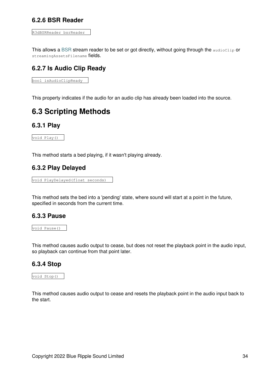#### **6.2.6 BSR Reader**

```
R3dBSRReader bsrReader
```
This allows a [BSR](#page-44-2) stream reader to be set or got directly, without going through the audioClip or streamingAssetsFilename fields.

### **6.2.7 Is Audio Clip Ready**

bool isAudioClipReady

This property indicates if the audio for an audio clip has already been loaded into the source.

## <span id="page-36-0"></span>**6.3 Scripting Methods**

#### **6.3.1 Play**

void Play()

This method starts a bed playing, if it wasn't playing already.

#### **6.3.2 Play Delayed**

void PlayDelayed(float seconds)

This method sets the bed into a 'pending' state, where sound will start at a point in the future, specified in seconds from the current time.

#### **6.3.3 Pause**

void Pause()

This method causes audio output to cease, but does not reset the playback point in the audio input, so playback can continue from that point later.

#### **6.3.4 Stop**

void Stop()

This method causes audio output to cease and resets the playback point in the audio input back to the start.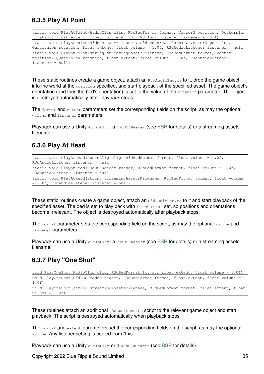### **6.3.5 Play At Point**

static void PlayAtPoint(AudioClip clip, R3dBedFormat format, Vector3 position, Quaternion rotation, float extent, float volume = 1.0f, R3dAudioListener listener = null) static void PlayAtPoint (R3dBSRReader reader, R3dBedFormat format, Vector3 position, Quaternion rotation, float extent, float volume =  $1.0f$ , R3dAudioListener listener = null) static void PlayAtPoint(string streamingAssetsFilename, R3dBedFormat format, Vector3 position, Quaternion rotation, float extent, float volume = 1.0f, R3dAudioListener  $l$ istener =  $null$ )

These static routines create a game object, attach an R3dAudioBed.cs to it, drop the game object into the world at the  $position$  specified, and start playback of the specified asset. The game object's orientation (and thus the bed's orientation) is set to the value of the rotation parameter. The object is destroyed automatically after playback stops.

The format and extent parameters set the corresponding fields on the script, as may the optional volume and listener parameters.

Playback can use a Unity AudioClip. a R3d[BSR](#page-44-2)Reader (see BSR for details) or a streaming assets filename.

#### **6.3.6 Play At Head**

| static void PlayAtHead(AudioClip clip, R3dBedFormat format, float volume = $1.0f$ ,<br>R3dAudioListener listener = null)              |
|---------------------------------------------------------------------------------------------------------------------------------------|
| static void PlayAtHead(R3dBSRReader reader, R3dBedFormat format, float volume = $1.0f$ ,<br>R3dAudioListener listener = null)         |
| static void PlayAtHead(string streamingAssetsFilename, R3dBedFormat format, float volume<br>= 1.0f, R3dAudioListener listener = null) |

These static routines create a game object, attach an  $R3dAudioBed.cs$  to it and start playback of the specified asset. The bed is set to play back with  $f$ ixedAtHead set, so positions and orientations become irrelevant. The object is destroyed automatically after playback stops.

The format parameter sets the corresponding field on the script, as may the optional volume and listener parameters.

Playback can use a Unity AudioClip. a R3d[BSR](#page-44-2)Reader (see BSR for details) or a streaming assets filename.

#### **6.3.7 Play "One Shot"**

```
void PlayOneShot(AudioClip clip, R3dBedFormat format, float extent, float volume = 1.0f)
void PlayOneShot(R3dBSRReader reader, R3dBedFormat format, float extent, float volume =
1.0f)
void PlayOneShot(string streamingAssetsFilename, R3dBedFormat format, float extent, float
volume = 1.0f)
```
These routines attach an additional R3dAudioBed.cs script to the relevant game object and start playback. The script is destroyed automatically when playback stops.

The format and extent parameters set the corresponding fields on the script, as may the optional volume. Any listener setting is copied from "this".

Playback can use a Unity AudioClip or a R3dBSRReader (see [BSR](#page-44-2) for details).

Copyright 2022 Blue Ripple Sound Limited 35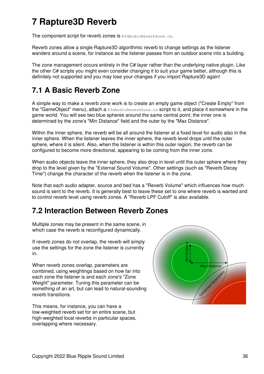# <span id="page-38-0"></span>**7 Rapture3D Reverb**

The component script for reverb zones is R3dAudioReverbZone.cs.

Reverb zones allow a single Rapture3D algorithmic reverb to change settings as the listener wanders around a scene, for instance as the listener passes from an outdoor scene into a building.

The zone management occurs entirely in the C# layer rather than the underlying native plugin. Like the other C# scripts you might even consider changing it to suit your game better, although this is definitely not supported and you may lose your changes if you import Rapture3D again!

## <span id="page-38-1"></span>**7.1 A Basic Reverb Zone**

A simple way to make a reverb zone work is to create an empty game object ("Create Empty" from the "GameObject" menu), attach a R3dAudioReverbZone.cs script to it, and place it somewhere in the game world. You will see two blue spheres around the same central point; the inner one is determined by the zone's "Min Distance" field and the outer by the "Max Distance".

Within the inner sphere, the reverb will be all around the listener at a fixed level for audio also in the inner sphere. When the listener leaves the inner sphere, the reverb level drops until the outer sphere, where it is silent. Also, when the listener is within this outer region, the reverb can be configured to become more directional, appearing to be coming from the inner zone.

When audio objects leave the inner sphere, they also drop in level until the outer sphere where they drop to the level given by the "External Sound Volume". Other settings (such as "Reverb Decay Time") change the character of the reverb when the listener is in the zone.

Note that each audio adapter, source and bed has a "Reverb Volume" which influences how much sound is sent to the reverb. It is generally best to leave these set to one where reverb is wanted and to control reverb level using reverb zones. A "Reverb LPF Cutoff" is also available.

## <span id="page-38-2"></span>**7.2 Interaction Between Reverb Zones**

Multiple zones may be present in the same scene, in which case the reverb is reconfigured dynamically.

If reverb zones do not overlap, the reverb will simply use the settings for the zone the listener is currently in.

When reverb zones overlap, parameters are combined, using weightings based on how far into each zone the listener is and each zone's "Zone Weight" parameter. Tuning this parameter can be something of an art, but can lead to natural-sounding reverb transitions.

This means, for instance, you can have a low-weighted reverb set for an entire scene, but high-weighted local reverbs in particular spaces, overlapping where necessary.

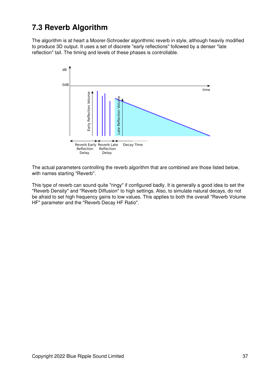## <span id="page-39-0"></span>**7.3 Reverb Algorithm**

The algorithm is at heart a Moorer-Schroeder algorithmic reverb in style, although heavily modified to produce 3D output. It uses a set of discrete "early reflections" followed by a denser "late reflection" tail. The timing and levels of these phases is controllable.



The actual parameters controlling the reverb algorithm that are combined are those listed below, with names starting "Reverb".

This type of reverb can sound quite "ringy" if configured badly. It is generally a good idea to set the "Reverb Density" and "Reverb Diffusion" to high settings. Also, to simulate natural decays, do not be afraid to set high frequency gains to low values. This applies to both the overall "Reverb Volume HF" parameter and the "Reverb Decay HF Ratio".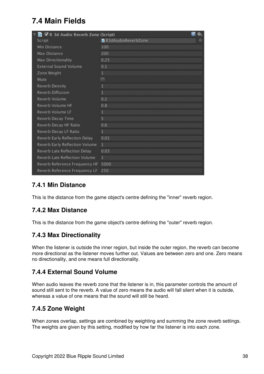## <span id="page-40-0"></span>**7.4 Main Fields**

| G √ R 3d Audio Reverb Zone (Script) | ₩.                               |
|-------------------------------------|----------------------------------|
| Script                              | <b>C</b> R3dAudioReverbZone<br>⊙ |
| Min Distance                        | 100                              |
| Max Distance                        | 200                              |
| Max Directionality                  | 0.25                             |
| <b>External Sound Volume</b>        | 0.1                              |
| Zone Weight                         | 1                                |
| Mute                                |                                  |
| Reverb Density                      | $\mathbf{1}$                     |
| Reverb Diffusion                    | 1                                |
| Reverb Volume                       | 0.2                              |
| Reverb Volume HF                    | 0.8                              |
| Reverb Volume LF                    | 1                                |
| Reverb Decay Time                   | 5                                |
| Reverb Decay HF Ratio               | 0.6                              |
| Reverb Decay LF Ratio               | $\mathbf{1}$                     |
| Reverb Early Reflection Delay       | 0.01                             |
| Reverb Early Reflection Volume      | 1                                |
| Reverb Late Reflection Delay        | 0.03                             |
| Reverb Late Reflection Volume       | 1                                |
| Reverb Reference Frequency HF       | 5000                             |
| Reverb Reference Frequency LF       | 250                              |

### **7.4.1 Min Distance**

This is the distance from the game object's centre defining the "inner" reverb region.

### **7.4.2 Max Distance**

This is the distance from the game object's centre defining the "outer" reverb region.

### **7.4.3 Max Directionality**

When the listener is outside the inner region, but inside the outer region, the reverb can become more directional as the listener moves further out. Values are between zero and one. Zero means no directionality, and one means full directionality.

#### **7.4.4 External Sound Volume**

When audio leaves the reverb zone that the listener is in, this parameter controls the amount of sound still sent to the reverb. A value of zero means the audio will fall silent when it is outside, whereas a value of one means that the sound will still be heard.

### **7.4.5 Zone Weight**

When zones overlap, settings are combined by weighting and summing the zone reverb settings. The weights are given by this setting, modified by how far the listener is into each zone.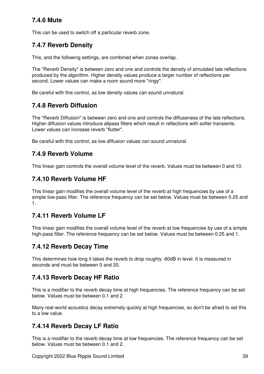### **7.4.6 Mute**

This can be used to switch off a particular reverb zone.

### **7.4.7 Reverb Density**

This, and the following settings, are combined when zones overlap.

The "Reverb Density" is between zero and one and controls the density of simulated late reflections produced by the algorithm. Higher density values produce a larger number of reflections per second. Lower values can make a room sound more "ringy".

Be careful with this control, as low density values can sound unnatural.

### **7.4.8 Reverb Diffusion**

The "Reverb Diffusion" is between zero and one and controls the diffuseness of the late reflections. Higher diffusion values introduce allpass filters which result in reflections with softer transients. Lower values can increase reverb "flutter".

Be careful with this control, as low diffusion values can sound unnatural.

### **7.4.9 Reverb Volume**

This linear gain controls the overall volume level of the reverb. Values must be between 0 and 10.

### **7.4.10 Reverb Volume HF**

This linear gain modifies the overall volume level of the reverb at high frequencies by use of a simple low-pass filter. The reference frequency can be set below. Values must be between 0.25 and 1.

#### **7.4.11 Reverb Volume LF**

This linear gain modifies the overall volume level of the reverb at low frequencies by use of a simple high-pass filter. The reference frequency can be set below. Values must be between 0.25 and 1.

#### **7.4.12 Reverb Decay Time**

This determines how long it takes the reverb to drop roughly -60dB in level. It is measured in seconds and must be between 0 and 20.

#### **7.4.13 Reverb Decay HF Ratio**

This is a modifier to the reverb decay time at high frequencies. The reference frequency can be set below. Values must be between 0.1 and 2.

Many real-world acoustics decay extremely quickly at high frequencies, so don't be afraid to set this to a low value.

### **7.4.14 Reverb Decay LF Ratio**

This is a modifier to the reverb decay time at low frequencies. The reference frequency can be set below. Values must be between 0.1 and 2.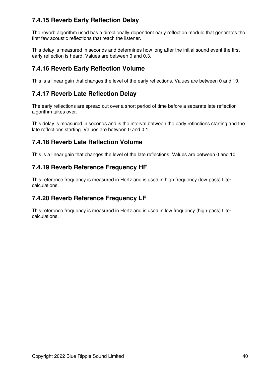## **7.4.15 Reverb Early Reflection Delay**

The reverb algorithm used has a directionally-dependent early reflection module that generates the first few acoustic reflections that reach the listener.

This delay is measured in seconds and determines how long after the initial sound event the first early reflection is heard. Values are between 0 and 0.3.

### **7.4.16 Reverb Early Reflection Volume**

This is a linear gain that changes the level of the early reflections. Values are between 0 and 10.

### **7.4.17 Reverb Late Reflection Delay**

The early reflections are spread out over a short period of time before a separate late reflection algorithm takes over.

This delay is measured in seconds and is the interval between the early reflections starting and the late reflections starting. Values are between 0 and 0.1.

### **7.4.18 Reverb Late Reflection Volume**

This is a linear gain that changes the level of the late reflections. Values are between 0 and 10.

### **7.4.19 Reverb Reference Frequency HF**

This reference frequency is measured in Hertz and is used in high frequency (low-pass) filter calculations.

### **7.4.20 Reverb Reference Frequency LF**

<span id="page-42-0"></span>This reference frequency is measured in Hertz and is used in low frequency (high-pass) filter calculations.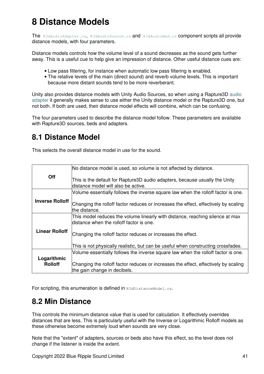# **8 Distance Models**

The [R3dAudioAdapter.cs](#page-19-0), [R3dAudioSource.cs](#page-22-1) and [R3dAudioBed.cs](#page-29-0) component scripts all provide distance models, with four parameters.

Distance models controls how the volume level of a sound decreases as the sound gets further away. This is a useful cue to help give an impression of distance. Other useful distance cues are:

- Low pass filtering, for instance when automatic low pass filtering is enabled.
- The relative levels of the main (direct sound) and reverb volume levels. This is important because more distant sounds tend to be more reverberant.

Unity also provides distance models with Unity Audio Sources, so when using a Rapture3D [audio](#page-19-0) [adapter](#page-19-0) it generally makes sense to use either the Unity distance model or the Rapture3D one, but not both. If both are used, their distance model effects will combine, which can be confusing.

The four parameters used to describe the distance model follow. These parameters are available with Rapture3D sources, beds and adapters.

## <span id="page-43-0"></span>**8.1 Distance Model**

This selects the overall distance model in use for the sound.

<span id="page-43-2"></span>

|                               | No distance model is used, so volume is not affected by distance.                                                         |
|-------------------------------|---------------------------------------------------------------------------------------------------------------------------|
| <b>Off</b>                    | This is the default for Rapture3D audio adapters, because usually the Unity<br>distance model will also be active.        |
|                               | Volume essentially follows the inverse square law when the rolloff factor is one.                                         |
| <b>Inverse Rolloff</b>        | Changing the rolloff factor reduces or increases the effect, effectively by scaling<br>the distance.                      |
|                               | This model reduces the volume linearly with distance, reaching silence at max<br>distance when the rolloff factor is one. |
|                               |                                                                                                                           |
| <b>Linear Rolloff</b>         | Changing the rolloff factor reduces or increases the effect.                                                              |
|                               | This is not physically realistic, but can be useful when constructing crossfades.                                         |
|                               | Volume essentially follows the inverse square law when the rolloff factor is one.                                         |
| Logarithmic<br><b>Rolloff</b> | Changing the rolloff factor reduces or increases the effect, effectively by scaling<br>the gain change in decibels.       |

For scripting, this enumeration is defined in R3dDistanceModel.cs.

## <span id="page-43-1"></span>**8.2 Min Distance**

This controls the minimum distance value that is used for calculation. It effectively overrides distances that are less. This is particularly useful with the Inverse or Logarithmic Rolloff models as these otherwise become extremely loud when sounds are very close.

Note that the "extent" of adapters, sources or beds also have this effect, so the level does not change if the listener is inside the extent.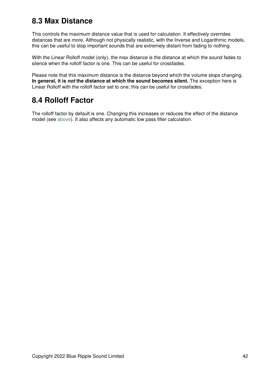## <span id="page-44-0"></span>**8.3 Max Distance**

This controls the maximum distance value that is used for calculation. It effectively overrides distances that are more. Although not physically realistic, with the Inverse and Logarithmic models, this can be useful to stop important sounds that are extremely distant from fading to nothing.

With the Linear Rolloff model (only), the max distance is the distance at which the sound fades to silence when the rolloff factor is one. This can be useful for crossfades.

Please note that this maximum distance is the distance beyond which the volume stops changing. **In general, it is** *not* **the distance at which the sound becomes silent.** The exception here is Linear Rolloff with the rolloff factor set to one; this can be useful for crossfades.

## <span id="page-44-1"></span>**8.4 Rolloff Factor**

<span id="page-44-2"></span>The rolloff factor by default is one. Changing this increases or reduces the effect of the distance model (see [above](#page-43-2)). It also affects any automatic low pass filter calculation.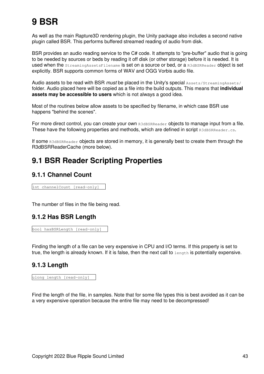# **9 BSR**

As well as the main Rapture3D rendering plugin, the Unity package also includes a second native plugin called BSR. This performs buffered streamed reading of audio from disk.

BSR provides an audio reading service to the C# code. It attempts to "pre-buffer" audio that is going to be needed by sources or beds by reading it off disk (or other storage) before it is needed. It is used when the StreamingAssetsFilename is set on a source or bed, or a R3dBSRReader object is set explicitly. BSR supports common forms of WAV and OGG Vorbis audio file.

Audio assets to be read with BSR must be placed in the Unity's special Assets/StreamingAssets/ folder. Audio placed here will be copied as a file into the build outputs. This means that **individual assets may be accessible to users** which is not always a good idea.

Most of the routines below allow assets to be specified by filename, in which case BSR use happens "behind the scenes".

For more direct control, you can create your own R3dBSRReader objects to manage input from a file. These have the following properties and methods, which are defined in script R3dBSRReader.cs.

If some R3dBSRReader objects are stored in memory, it is generally best to create them through the R3dBSRReaderCache (more below).

## <span id="page-45-0"></span>**9.1 BSR Reader Scripting Properties**

### **9.1.1 Channel Count**

int channelCount [read-only]

The number of files in the file being read.

#### **9.1.2 Has BSR Length**

```
bool hasBSRLength [read-only]
```
Finding the length of a file can be very expensive in CPU and I/O terms. If this property is set to true, the length is already known. If it is false, then the next call to length is potentially expensive.

#### **9.1.3 Length**

```
ulong length [read-only]
```
Find the length of the file, in samples. Note that for some file types this is best avoided as it can be a very expensive operation because the entire file may need to be decompressed!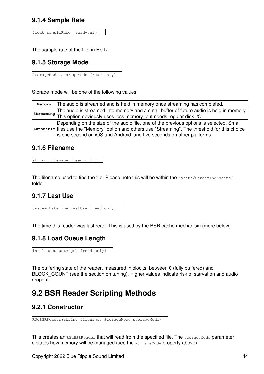### **9.1.4 Sample Rate**

```
float sampleRate [read-only]
```
The sample rate of the file, in Hertz.

### **9.1.5 Storage Mode**

StorageMode storageMode [read-only]

Storage mode will be one of the following values:

|  | Memory The audio is streamed and is held in memory once streaming has completed.                  |
|--|---------------------------------------------------------------------------------------------------|
|  | The audio is streamed into memory and a small buffer of future audio is held in memory.           |
|  | streaming This option obviously uses less memory, but needs regular disk I/O.                     |
|  | Depending on the size of the audio file, one of the previous options is selected. Small           |
|  | automatic files use the "Memory" option and others use "Streaming". The threshold for this choice |
|  | is one second on iOS and Android, and five seconds on other platforms.                            |

#### **9.1.6 Filename**

```
string filename [read-only]
```
The filename used to find the file. Please note this will be within the Assets/StreamingAssets/ folder.

### **9.1.7 Last Use**

System.DateTime lastUse [read-only]

The time this reader was last read. This is used by the BSR cache mechanism (more below).

### **9.1.8 Load Queue Length**

```
int loadQueueLength [read-only]
```
The buffering state of the reader, measured in blocks, between 0 (fully buffered) and BLOCK COUNT (see the section on tuning). Higher values indicate risk of starvation and audio dropout.

## <span id="page-46-0"></span>**9.2 BSR Reader Scripting Methods**

#### **9.2.1 Constructor**

R3dBSRReader(string filename, StorageMode storageMode)

This creates an R3dBSRReader that will read from the specified file. The storageMode parameter dictates how memory will be managed (see the storageMode property above).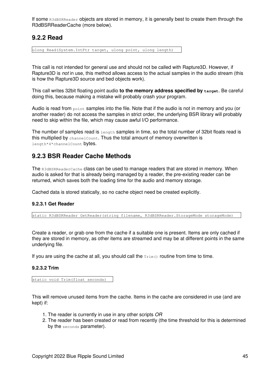If some R3dBSRReader objects are stored in memory, it is generally best to create them through the R3dBSRReaderCache (more below).

#### **9.2.2 Read**

ulong Read(System.IntPtr target, ulong point, ulong length)

This call is not intended for general use and should not be called with Rapture3D. However, if Rapture3D is *not* in use, this method allows access to the actual samples in the audio stream (this is how the Rapture3D source and bed objects work).

This call writes 32bit floating point audio **to the memory address specified by target**. Be careful doing this, because making a mistake will probably crash your program.

Audio is read from point samples into the file. Note that if the audio is not in memory and you (or another reader) do not access the samples in strict order, the underlying BSR library will probably need to skip within the file, which may cause awful I/O performance.

The number of samples read is  $l$  ength samples in time, so the total number of 32bit floats read is this multiplied by channelCount. Thus the total amount of memory overwritten is length\*4\*channelCount bytes.

### **9.2.3 BSR Reader Cache Methods**

The R3dBSRReaderCache class can be used to manage readers that are stored in memory. When audio is asked for that is already being managed by a reader, the pre-existing reader can be returned, which saves both the loading time for the audio and memory storage.

Cached data is stored statically, so no cache object need be created explicitly.

#### **9.2.3.1 Get Reader**

static R3dBSRReader GetReader(string filename, R3dBSRReader.StorageMode storageMode)

Create a reader, or grab one from the cache if a suitable one is present. Items are only cached if they are stored in memory, as other items are streamed and may be at different points in the same underlying file.

If you are using the cache at all, you should call the  $Trim(i)$  routine from time to time.

#### **9.2.3.2 Trim**

static void Trim(float seconds)

This will remove unused items from the cache. Items in the cache are considered in use (and are kept) if:

- 1. The reader is currently in use in any other scripts *OR*
- 2. The reader has been created or read from recently (the time threshold for this is determined by the seconds parameter).